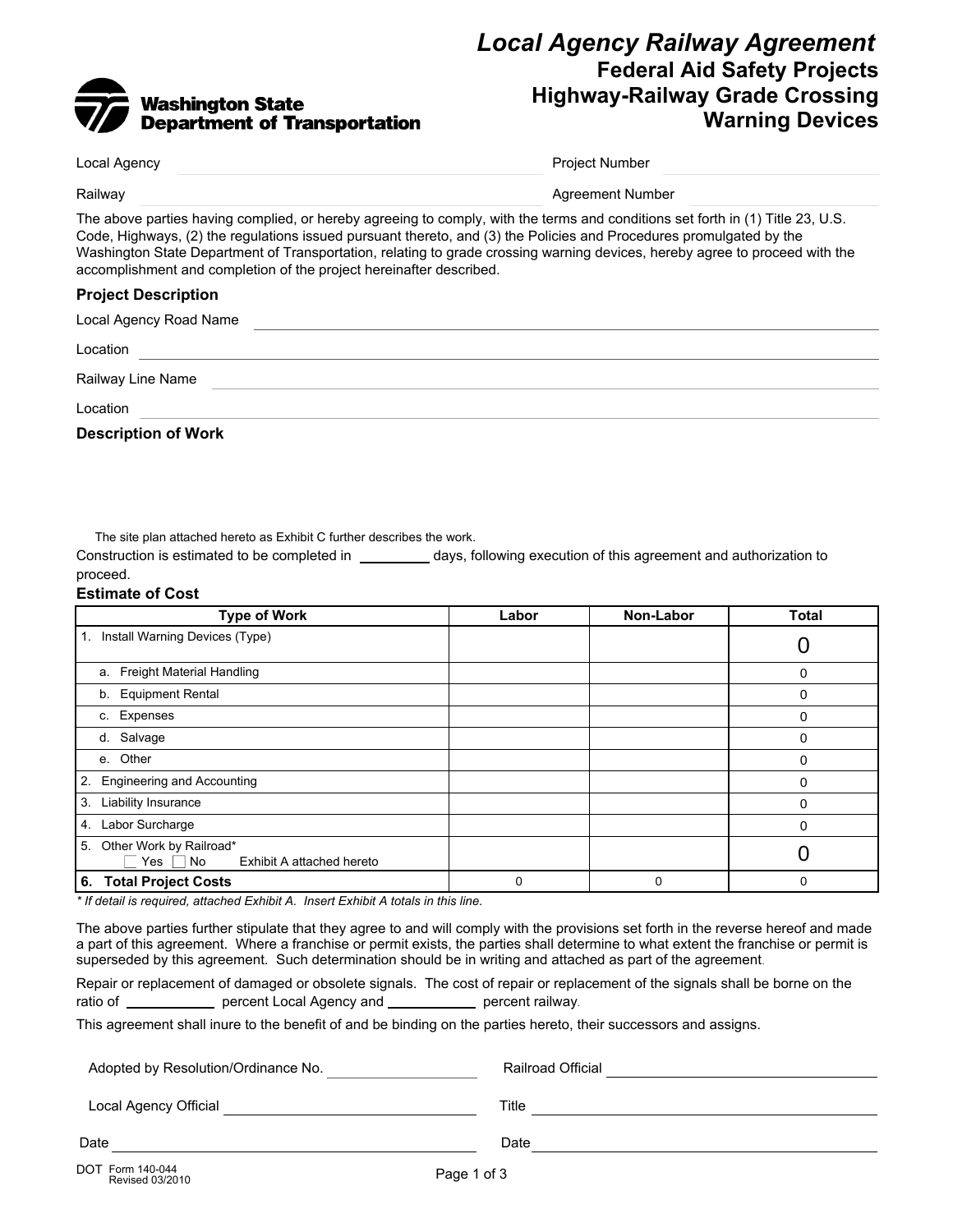# Washington State<br>Department of Transportation

# *Local Agency Railway Agreement* **Federal Aid Safety Projects Highway-Railway Grade Crossing Warning Devices**

| Local Agency                                                                                                                                                                                                                                                                                                                                                                                                                                                | <b>Project Number</b>   |  |  |
|-------------------------------------------------------------------------------------------------------------------------------------------------------------------------------------------------------------------------------------------------------------------------------------------------------------------------------------------------------------------------------------------------------------------------------------------------------------|-------------------------|--|--|
| Railway                                                                                                                                                                                                                                                                                                                                                                                                                                                     | <b>Agreement Number</b> |  |  |
| The above parties having complied, or hereby agreeing to comply, with the terms and conditions set forth in (1) Title 23, U.S.<br>Code, Highways, (2) the regulations issued pursuant thereto, and (3) the Policies and Procedures promulgated by the<br>Washington State Department of Transportation, relating to grade crossing warning devices, hereby agree to proceed with the<br>accomplishment and completion of the project hereinafter described. |                         |  |  |
| <b>Project Description</b>                                                                                                                                                                                                                                                                                                                                                                                                                                  |                         |  |  |
| Local Agency Road Name                                                                                                                                                                                                                                                                                                                                                                                                                                      |                         |  |  |
| Location                                                                                                                                                                                                                                                                                                                                                                                                                                                    |                         |  |  |
| Railway Line Name                                                                                                                                                                                                                                                                                                                                                                                                                                           |                         |  |  |
| Location                                                                                                                                                                                                                                                                                                                                                                                                                                                    |                         |  |  |

**Description of Work**

The site plan attached hereto as Exhibit C further describes the work.

Construction is estimated to be completed in \_\_\_\_\_\_\_\_\_ days, following execution of this agreement and authorization to proceed.

#### **Estimate of Cost**

| <b>Type of Work</b>                                                     | Labor | Non-Labor | <b>Total</b> |
|-------------------------------------------------------------------------|-------|-----------|--------------|
| Install Warning Devices (Type)<br>1.                                    |       |           |              |
| a. Freight Material Handling                                            |       |           | 0            |
| b. Equipment Rental                                                     |       |           | 0            |
| c. Expenses                                                             |       |           | 0            |
| d. Salvage                                                              |       |           | 0            |
| e. Other                                                                |       |           | 0            |
| <b>Engineering and Accounting</b><br>2.                                 |       |           | 0            |
| 3.<br>Liability Insurance                                               |       |           | 0            |
| Labor Surcharge<br>4.                                                   |       |           | 0            |
| Other Work by Railroad*<br>5.<br>Yes<br>No<br>Exhibit A attached hereto |       |           |              |
| 6. Total Project Costs                                                  |       | 0         | 0            |

*\* If detail is required, attached Exhibit A. Insert Exhibit A totals in this line.*

The above parties further stipulate that they agree to and will comply with the provisions set forth in the reverse hereof and made a part of this agreement. Where a franchise or permit exists, the parties shall determine to what extent the franchise or permit is superseded by this agreement. Such determination should be in writing and attached as part of the agreement.

Repair or replacement of damaged or obsolete signals. The cost of repair or replacement of the signals shall be borne on the ratio of **with the percent Local Agency and with all percent railway**.

This agreement shall inure to the benefit of and be binding on the parties hereto, their successors and assigns.

| Adopted by Resolution/Ordinance No. | <b>Railroad Official</b> |
|-------------------------------------|--------------------------|
| Local Agency Official               | Title                    |
|                                     |                          |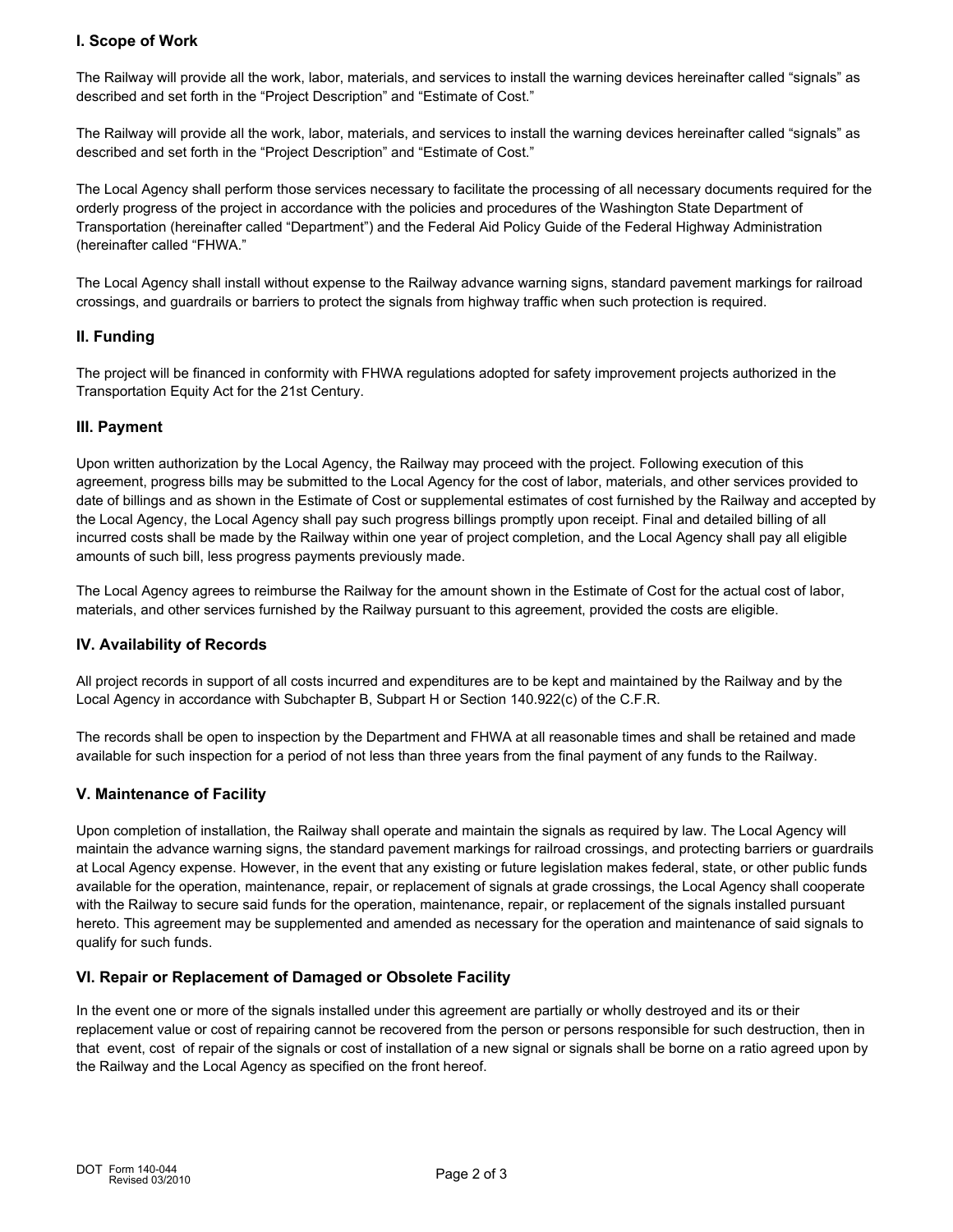# **I. Scope of Work**

The Railway will provide all the work, labor, materials, and services to install the warning devices hereinafter called "signals" as described and set forth in the "Project Description" and "Estimate of Cost."

The Railway will provide all the work, labor, materials, and services to install the warning devices hereinafter called "signals" as described and set forth in the "Project Description" and "Estimate of Cost."

The Local Agency shall perform those services necessary to facilitate the processing of all necessary documents required for the orderly progress of the project in accordance with the policies and procedures of the Washington State Department of Transportation (hereinafter called "Department") and the Federal Aid Policy Guide of the Federal Highway Administration (hereinafter called "FHWA."

The Local Agency shall install without expense to the Railway advance warning signs, standard pavement markings for railroad crossings, and guardrails or barriers to protect the signals from highway traffic when such protection is required.

#### **II. Funding**

The project will be financed in conformity with FHWA regulations adopted for safety improvement projects authorized in the Transportation Equity Act for the 21st Century.

## **III. Payment**

Upon written authorization by the Local Agency, the Railway may proceed with the project. Following execution of this agreement, progress bills may be submitted to the Local Agency for the cost of labor, materials, and other services provided to date of billings and as shown in the Estimate of Cost or supplemental estimates of cost furnished by the Railway and accepted by the Local Agency, the Local Agency shall pay such progress billings promptly upon receipt. Final and detailed billing of all incurred costs shall be made by the Railway within one year of project completion, and the Local Agency shall pay all eligible amounts of such bill, less progress payments previously made.

The Local Agency agrees to reimburse the Railway for the amount shown in the Estimate of Cost for the actual cost of labor, materials, and other services furnished by the Railway pursuant to this agreement, provided the costs are eligible.

#### **IV. Availability of Records**

All project records in support of all costs incurred and expenditures are to be kept and maintained by the Railway and by the Local Agency in accordance with Subchapter B, Subpart H or Section 140.922(c) of the C.F.R.

The records shall be open to inspection by the Department and FHWA at all reasonable times and shall be retained and made available for such inspection for a period of not less than three years from the final payment of any funds to the Railway.

#### **V. Maintenance of Facility**

Upon completion of installation, the Railway shall operate and maintain the signals as required by law. The Local Agency will maintain the advance warning signs, the standard pavement markings for railroad crossings, and protecting barriers or guardrails at Local Agency expense. However, in the event that any existing or future legislation makes federal, state, or other public funds available for the operation, maintenance, repair, or replacement of signals at grade crossings, the Local Agency shall cooperate with the Railway to secure said funds for the operation, maintenance, repair, or replacement of the signals installed pursuant hereto. This agreement may be supplemented and amended as necessary for the operation and maintenance of said signals to qualify for such funds.

#### **VI. Repair or Replacement of Damaged or Obsolete Facility**

In the event one or more of the signals installed under this agreement are partially or wholly destroyed and its or their replacement value or cost of repairing cannot be recovered from the person or persons responsible for such destruction, then in that event, cost of repair of the signals or cost of installation of a new signal or signals shall be borne on a ratio agreed upon by the Railway and the Local Agency as specified on the front hereof.